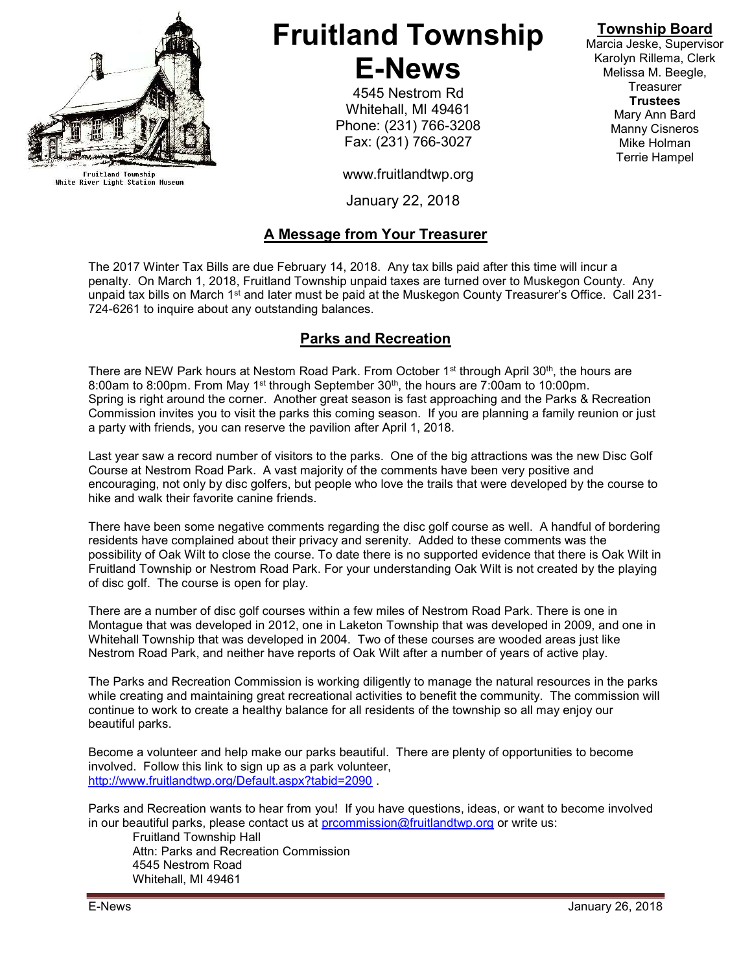

Fruitland Township<br>White River Light Station Museum

# Fruitland Township E-News

4545 Nestrom Rd Whitehall, MI 49461 Phone: (231) 766-3208 Fax: (231) 766-3027

www.fruitlandtwp.org

January 22, 2018

## A Message from Your Treasurer

The 2017 Winter Tax Bills are due February 14, 2018. Any tax bills paid after this time will incur a penalty. On March 1, 2018, Fruitland Township unpaid taxes are turned over to Muskegon County. Any unpaid tax bills on March 1<sup>st</sup> and later must be paid at the Muskegon County Treasurer's Office. Call 231-724-6261 to inquire about any outstanding balances.

# Parks and Recreation

There are NEW Park hours at Nestom Road Park. From October 1<sup>st</sup> through April 30<sup>th</sup>, the hours are 8:00am to 8:00pm. From May 1st through September 30th, the hours are 7:00am to 10:00pm. Spring is right around the corner. Another great season is fast approaching and the Parks & Recreation Commission invites you to visit the parks this coming season. If you are planning a family reunion or just a party with friends, you can reserve the pavilion after April 1, 2018.

Last year saw a record number of visitors to the parks. One of the big attractions was the new Disc Golf Course at Nestrom Road Park. A vast majority of the comments have been very positive and encouraging, not only by disc golfers, but people who love the trails that were developed by the course to hike and walk their favorite canine friends.

There have been some negative comments regarding the disc golf course as well. A handful of bordering residents have complained about their privacy and serenity. Added to these comments was the possibility of Oak Wilt to close the course. To date there is no supported evidence that there is Oak Wilt in Fruitland Township or Nestrom Road Park. For your understanding Oak Wilt is not created by the playing of disc golf. The course is open for play.

There are a number of disc golf courses within a few miles of Nestrom Road Park. There is one in Montague that was developed in 2012, one in Laketon Township that was developed in 2009, and one in Whitehall Township that was developed in 2004. Two of these courses are wooded areas just like Nestrom Road Park, and neither have reports of Oak Wilt after a number of years of active play.

The Parks and Recreation Commission is working diligently to manage the natural resources in the parks while creating and maintaining great recreational activities to benefit the community. The commission will continue to work to create a healthy balance for all residents of the township so all may enjoy our beautiful parks.

Become a volunteer and help make our parks beautiful. There are plenty of opportunities to become involved. Follow this link to sign up as a park volunteer, http://www.fruitlandtwp.org/Default.aspx?tabid=2090 .

Parks and Recreation wants to hear from you! If you have questions, ideas, or want to become involved in our beautiful parks, please contact us at prcommission@fruitlandtwp.org or write us:

Fruitland Township Hall Attn: Parks and Recreation Commission 4545 Nestrom Road Whitehall, MI 49461

# Township Board

Marcia Jeske, Supervisor Karolyn Rillema, Clerk Melissa M. Beegle, **Treasurer Trustees** Mary Ann Bard Manny Cisneros Mike Holman Terrie Hampel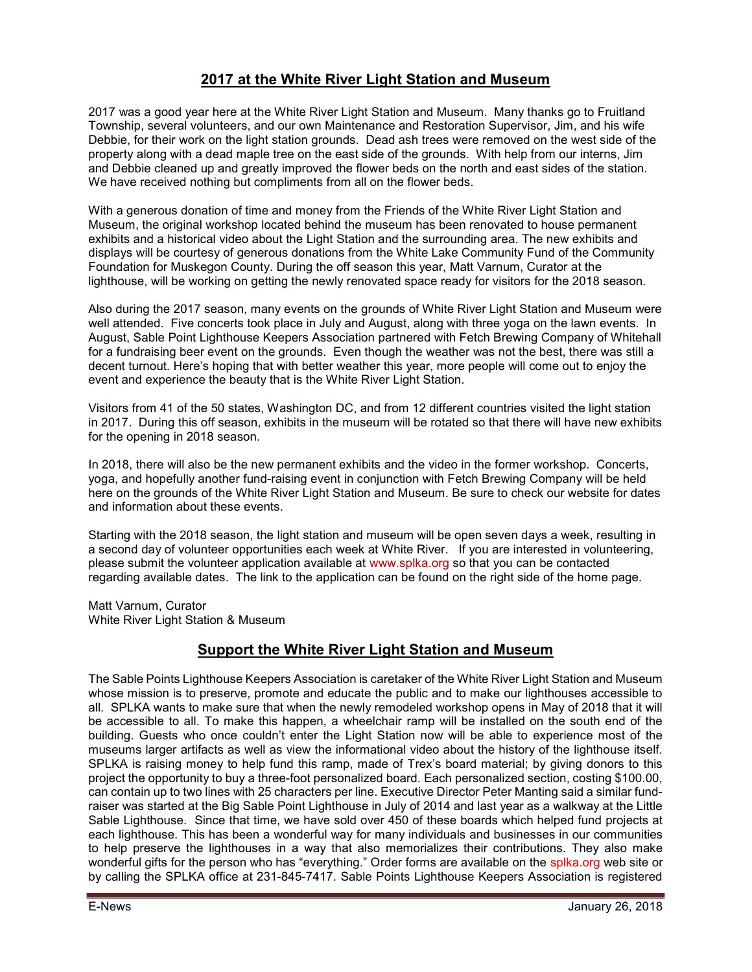## 2017 at the White River Light Station and Museum

2017 was a good year here at the White River Light Station and Museum. Many thanks go to Fruitland Township, several volunteers, and our own Maintenance and Restoration Supervisor, Jim, and his wife Debbie, for their work on the light station grounds. Dead ash trees were removed on the west side of the property along with a dead maple tree on the east side of the grounds. With help from our interns, Jim and Debbie cleaned up and greatly improved the flower beds on the north and east sides of the station. We have received nothing but compliments from all on the flower beds.

With a generous donation of time and money from the Friends of the White River Light Station and Museum, the original workshop located behind the museum has been renovated to house permanent exhibits and a historical video about the Light Station and the surrounding area. The new exhibits and displays will be courtesy of generous donations from the White Lake Community Fund of the Community Foundation for Muskegon County. During the off season this year, Matt Varnum, Curator at the lighthouse, will be working on getting the newly renovated space ready for visitors for the 2018 season.

Also during the 2017 season, many events on the grounds of White River Light Station and Museum were well attended. Five concerts took place in July and August, along with three yoga on the lawn events. In August, Sable Point Lighthouse Keepers Association partnered with Fetch Brewing Company of Whitehall for a fundraising beer event on the grounds. Even though the weather was not the best, there was still a decent turnout. Here's hoping that with better weather this year, more people will come out to enjoy the event and experience the beauty that is the White River Light Station.

Visitors from 41 of the 50 states, Washington DC, and from 12 different countries visited the light station in 2017. During this off season, exhibits in the museum will be rotated so that there will have new exhibits for the opening in 2018 season.

In 2018, there will also be the new permanent exhibits and the video in the former workshop. Concerts, yoga, and hopefully another fund-raising event in conjunction with Fetch Brewing Company will be held here on the grounds of the White River Light Station and Museum. Be sure to check our website for dates and information about these events.

Starting with the 2018 season, the light station and museum will be open seven days a week, resulting in a second day of volunteer opportunities each week at White River. If you are interested in volunteering, please submit the volunteer application available at www.splka.org so that you can be contacted regarding available dates. The link to the application can be found on the right side of the home page.

Matt Varnum, Curator White River Light Station & Museum

## Support the White River Light Station and Museum

The Sable Points Lighthouse Keepers Association is caretaker of the White River Light Station and Museum whose mission is to preserve, promote and educate the public and to make our lighthouses accessible to all. SPLKA wants to make sure that when the newly remodeled workshop opens in May of 2018 that it will be accessible to all. To make this happen, a wheelchair ramp will be installed on the south end of the building. Guests who once couldn't enter the Light Station now will be able to experience most of the museums larger artifacts as well as view the informational video about the history of the lighthouse itself. SPLKA is raising money to help fund this ramp, made of Trex's board material; by giving donors to this project the opportunity to buy a three-foot personalized board. Each personalized section, costing \$100.00, can contain up to two lines with 25 characters per line. Executive Director Peter Manting said a similar fundraiser was started at the Big Sable Point Lighthouse in July of 2014 and last year as a walkway at the Little Sable Lighthouse. Since that time, we have sold over 450 of these boards which helped fund projects at each lighthouse. This has been a wonderful way for many individuals and businesses in our communities to help preserve the lighthouses in a way that also memorializes their contributions. They also make wonderful gifts for the person who has "everything." Order forms are available on the splka.org web site or by calling the SPLKA office at 231-845-7417. Sable Points Lighthouse Keepers Association is registered